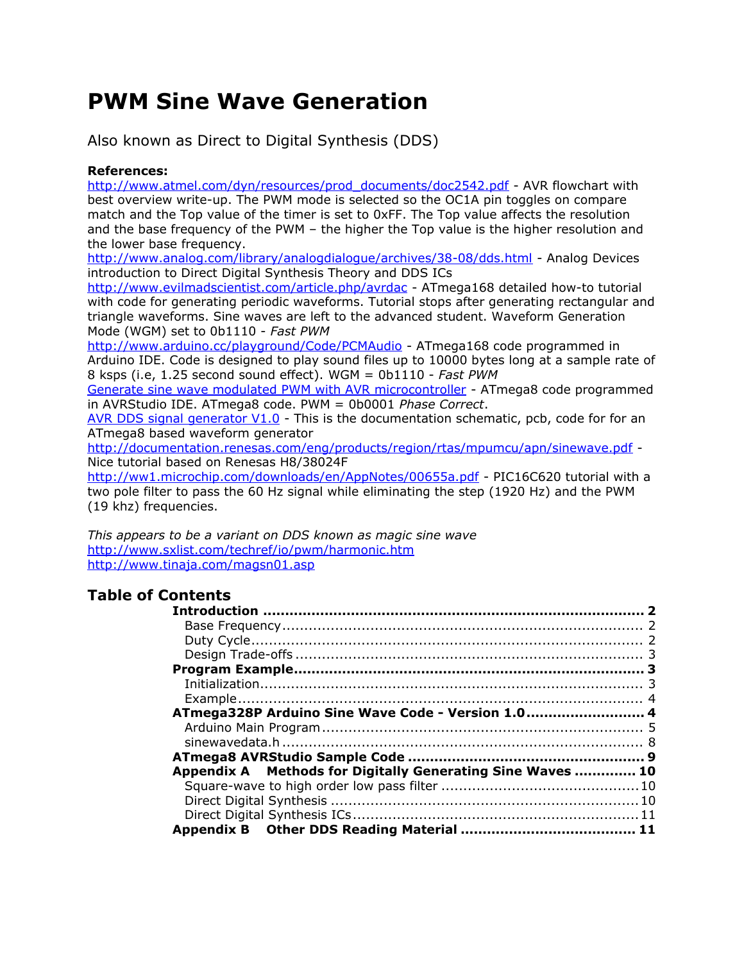# **PWM Sine Wave Generation**

Also known as Direct to Digital Synthesis (DDS)

#### **References:**

[http://www.atmel.com/dyn/resources/prod\\_documents/doc2542.pdf](http://www.atmel.com/dyn/resources/prod_documents/doc2542.pdf) - AVR flowchart with best overview write-up. The PWM mode is selected so the OC1A pin toggles on compare match and the Top value of the timer is set to 0xFF. The Top value affects the resolution and the base frequency of the PWM – the higher the Top value is the higher resolution and the lower base frequency.

<http://www.analog.com/library/analogdialogue/archives/38-08/dds.html> - Analog Devices introduction to Direct Digital Synthesis Theory and DDS ICs

<http://www.evilmadscientist.com/article.php/avrdac> - ATmega168 detailed how-to tutorial with code for generating periodic waveforms. Tutorial stops after generating rectangular and triangle waveforms. Sine waves are left to the advanced student. Waveform Generation Mode (WGM) set to 0b1110 - *Fast PWM*

<http://www.arduino.cc/playground/Code/PCMAudio> - ATmega168 code programmed in Arduino IDE. Code is designed to play sound files up to 10000 bytes long at a sample rate of 8 ksps (i.e, 1.25 second sound effect). WGM = 0b1110 - *Fast PWM*

[Generate sine wave modulated PWM with AVR microcontroller](http://www.scienceprog.com/generate-sine-wave-modulated-pwm-with-avr-microcontroller/) - ATmega8 code programmed in AVRStudio IDE. ATmega8 code. PWM = 0b0001 *Phase Correct*.

[AVR DDS signal generator V1.0](http://www.scienceprog.com/avr-dds-signal-generator-v10/) - This is the documentation schematic, pcb, code for for an ATmega8 based waveform generator

<http://documentation.renesas.com/eng/products/region/rtas/mpumcu/apn/sinewave.pdf> - Nice tutorial based on Renesas H8/38024F

<http://ww1.microchip.com/downloads/en/AppNotes/00655a.pdf> - PIC16C620 tutorial with a two pole filter to pass the 60 Hz signal while eliminating the step (1920 Hz) and the PWM (19 khz) frequencies.

*This appears to be a variant on DDS known as magic sine wave* <http://www.sxlist.com/techref/io/pwm/harmonic.htm> <http://www.tinaja.com/magsn01.asp>

#### **Table of Contents**

| ATmega328P Arduino Sine Wave Code - Version 1.0 4          |  |
|------------------------------------------------------------|--|
|                                                            |  |
|                                                            |  |
|                                                            |  |
| Appendix A Methods for Digitally Generating Sine Waves  10 |  |
|                                                            |  |
|                                                            |  |
|                                                            |  |
|                                                            |  |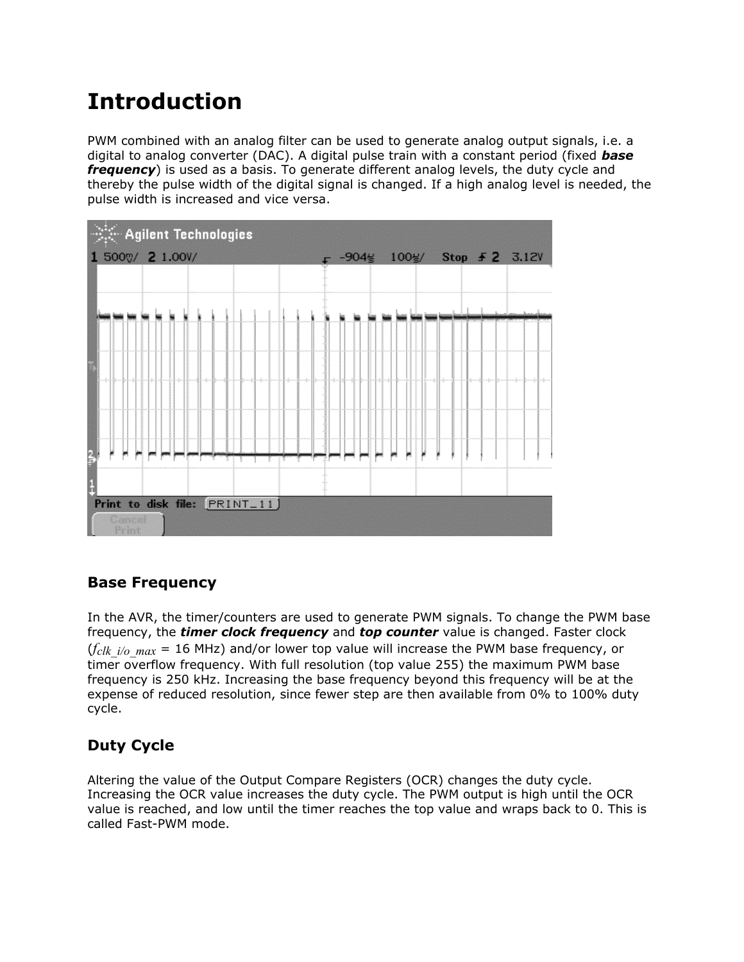# <span id="page-1-0"></span>**Introduction**

PWM combined with an analog filter can be used to generate analog output signals, i.e. a digital to analog converter (DAC). A digital pulse train with a constant period (fixed *base frequency*) is used as a basis. To generate different analog levels, the duty cycle and thereby the pulse width of the digital signal is changed. If a high analog level is needed, the pulse width is increased and vice versa.



#### <span id="page-1-1"></span>**Base Frequency**

In the AVR, the timer/counters are used to generate PWM signals. To change the PWM base frequency, the *timer clock frequency* and *top counter* value is changed. Faster clock  $(f_{clk\ i/o\ max} = 16$  MHz) and/or lower top value will increase the PWM base frequency, or timer overflow frequency. With full resolution (top value 255) the maximum PWM base frequency is 250 kHz. Increasing the base frequency beyond this frequency will be at the expense of reduced resolution, since fewer step are then available from 0% to 100% duty cycle.

#### <span id="page-1-2"></span>**Duty Cycle**

Altering the value of the Output Compare Registers (OCR) changes the duty cycle. Increasing the OCR value increases the duty cycle. The PWM output is high until the OCR value is reached, and low until the timer reaches the top value and wraps back to 0. This is called Fast-PWM mode.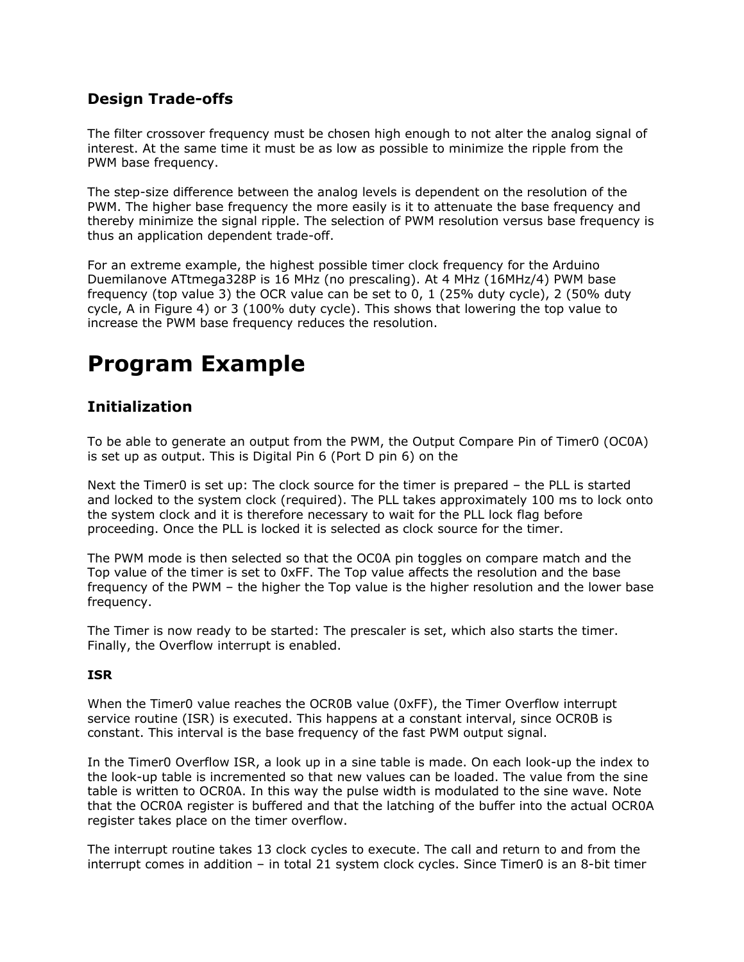#### <span id="page-2-0"></span>**Design Trade-offs**

The filter crossover frequency must be chosen high enough to not alter the analog signal of interest. At the same time it must be as low as possible to minimize the ripple from the PWM base frequency.

The step-size difference between the analog levels is dependent on the resolution of the PWM. The higher base frequency the more easily is it to attenuate the base frequency and thereby minimize the signal ripple. The selection of PWM resolution versus base frequency is thus an application dependent trade-off.

For an extreme example, the highest possible timer clock frequency for the Arduino Duemilanove ATtmega328P is 16 MHz (no prescaling). At 4 MHz (16MHz/4) PWM base frequency (top value 3) the OCR value can be set to 0, 1 (25% duty cycle), 2 (50% duty cycle, A in Figure 4) or 3 (100% duty cycle). This shows that lowering the top value to increase the PWM base frequency reduces the resolution.

# <span id="page-2-1"></span>**Program Example**

#### <span id="page-2-2"></span>**Initialization**

To be able to generate an output from the PWM, the Output Compare Pin of Timer0 (OC0A) is set up as output. This is Digital Pin 6 (Port D pin 6) on the

Next the Timer0 is set up: The clock source for the timer is prepared – the PLL is started and locked to the system clock (required). The PLL takes approximately 100 ms to lock onto the system clock and it is therefore necessary to wait for the PLL lock flag before proceeding. Once the PLL is locked it is selected as clock source for the timer.

The PWM mode is then selected so that the OC0A pin toggles on compare match and the Top value of the timer is set to 0xFF. The Top value affects the resolution and the base frequency of the PWM – the higher the Top value is the higher resolution and the lower base frequency.

The Timer is now ready to be started: The prescaler is set, which also starts the timer. Finally, the Overflow interrupt is enabled.

#### **ISR**

When the Timer0 value reaches the OCR0B value (0xFF), the Timer Overflow interrupt service routine (ISR) is executed. This happens at a constant interval, since OCR0B is constant. This interval is the base frequency of the fast PWM output signal.

In the Timer0 Overflow ISR, a look up in a sine table is made. On each look-up the index to the look-up table is incremented so that new values can be loaded. The value from the sine table is written to OCR0A. In this way the pulse width is modulated to the sine wave. Note that the OCR0A register is buffered and that the latching of the buffer into the actual OCR0A register takes place on the timer overflow.

The interrupt routine takes 13 clock cycles to execute. The call and return to and from the interrupt comes in addition – in total 21 system clock cycles. Since Timer0 is an 8-bit timer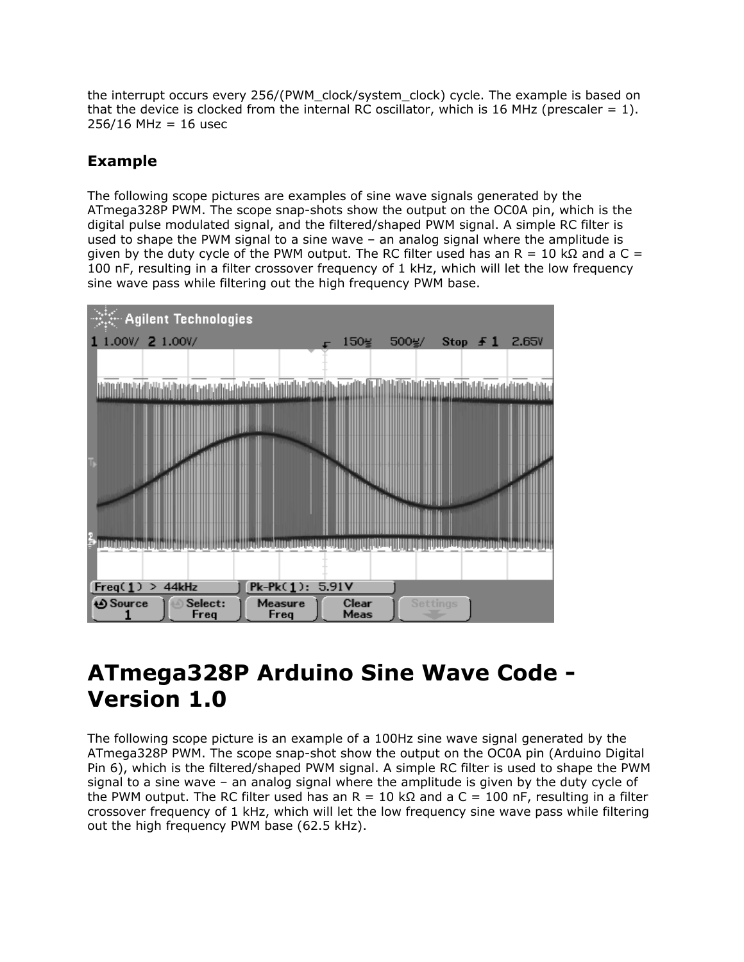the interrupt occurs every 256/(PWM\_clock/system\_clock) cycle. The example is based on that the device is clocked from the internal RC oscillator, which is 16 MHz (prescaler  $= 1$ ).  $256/16$  MHz = 16 usec

#### <span id="page-3-0"></span>**Example**

The following scope pictures are examples of sine wave signals generated by the ATmega328P PWM. The scope snap-shots show the output on the OC0A pin, which is the digital pulse modulated signal, and the filtered/shaped PWM signal. A simple RC filter is used to shape the PWM signal to a sine wave – an analog signal where the amplitude is given by the duty cycle of the PWM output. The RC filter used has an R = 10 kΩ and a C = 100 nF, resulting in a filter crossover frequency of 1 kHz, which will let the low frequency sine wave pass while filtering out the high frequency PWM base.



# <span id="page-3-1"></span>**ATmega328P Arduino Sine Wave Code - Version 1.0**

The following scope picture is an example of a 100Hz sine wave signal generated by the ATmega328P PWM. The scope snap-shot show the output on the OC0A pin (Arduino Digital Pin 6), which is the filtered/shaped PWM signal. A simple RC filter is used to shape the PWM signal to a sine wave – an analog signal where the amplitude is given by the duty cycle of the PWM output. The RC filter used has an R = 10 k $\Omega$  and a C = 100 nF, resulting in a filter crossover frequency of 1 kHz, which will let the low frequency sine wave pass while filtering out the high frequency PWM base (62.5 kHz).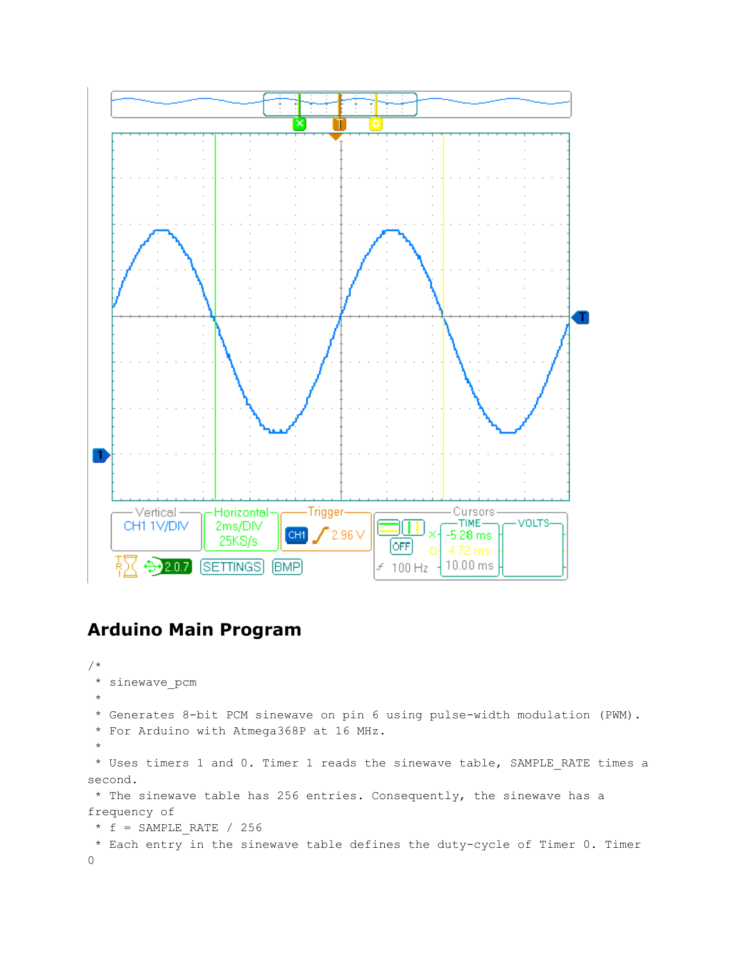

### <span id="page-4-0"></span>**Arduino Main Program**

```
/*
 * sinewave_pcm
 *
 * Generates 8-bit PCM sinewave on pin 6 using pulse-width modulation (PWM).
 * For Arduino with Atmega368P at 16 MHz.
 *
 * Uses timers 1 and 0. Timer 1 reads the sinewave table, SAMPLE_RATE times a
second.
* The sinewave table has 256 entries. Consequently, the sinewave has a
frequency of
 * f = SAMPLE RATE / 256
* Each entry in the sinewave table defines the duty-cycle of Timer 0. Timer
\Omega
```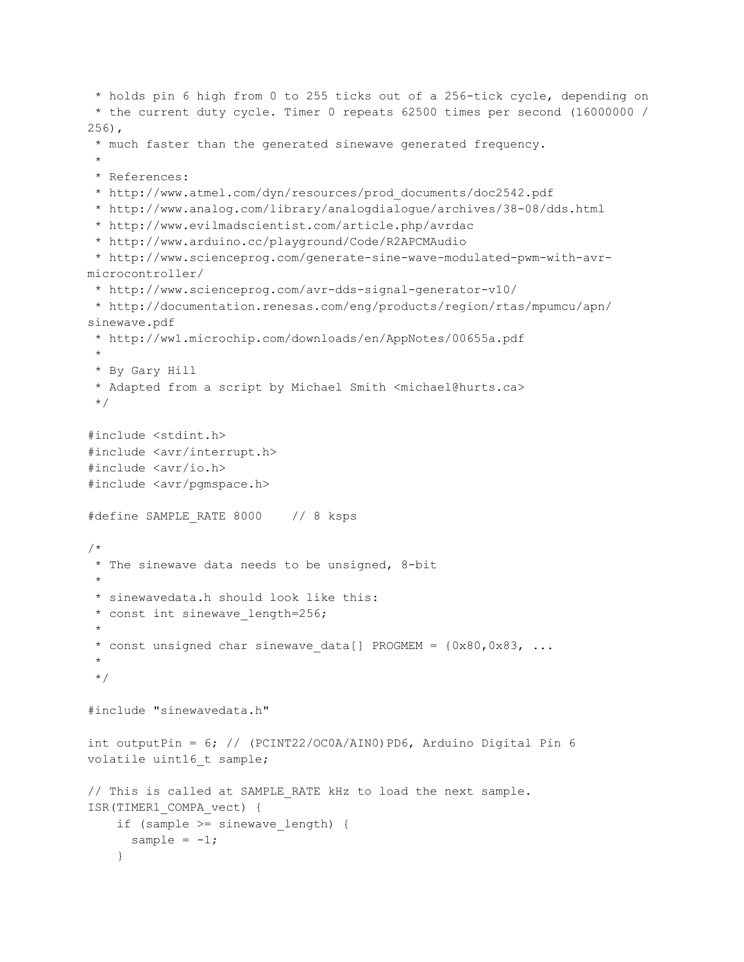```
* holds pin 6 high from 0 to 255 ticks out of a 256-tick cycle, depending on
 * the current duty cycle. Timer 0 repeats 62500 times per second (16000000 /
256),
 * much faster than the generated sinewave generated frequency.
 *
 * References:
 * http://www.atmel.com/dyn/resources/prod_documents/doc2542.pdf
 * http://www.analog.com/library/analogdialogue/archives/38-08/dds.html
 * http://www.evilmadscientist.com/article.php/avrdac
 * http://www.arduino.cc/playground/Code/R2APCMAudio
 * http://www.scienceprog.com/generate-sine-wave-modulated-pwm-with-avr-
microcontroller/
 * http://www.scienceprog.com/avr-dds-signal-generator-v10/
 * http://documentation.renesas.com/eng/products/region/rtas/mpumcu/apn/
sinewave.pdf
 * http://ww1.microchip.com/downloads/en/AppNotes/00655a.pdf
 *
 * By Gary Hill
 * Adapted from a script by Michael Smith <michael@hurts.ca>
 */
#include <stdint.h>
#include <avr/interrupt.h>
#include <avr/io.h>
#include <avr/pgmspace.h>
#define SAMPLE_RATE 8000 // 8 ksps
/*
 * The sinewave data needs to be unsigned, 8-bit
 *
 * sinewavedata.h should look like this:
 * const int sinewave length=256;
 *
 * const unsigned char sinewave data[] PROGMEM = {0x80,0x83, ...}*
 */
#include "sinewavedata.h"
int outputPin = 6; // (PCINT22/OC0A/AIN0)PD6, Arduino Digital Pin 6
volatile uint16 t sample;
// This is called at SAMPLE RATE kHz to load the next sample.
ISR(TIMER1_COMPA_vect) {
    if (sample >= sinewave length) {
      sample = -1;
    }
```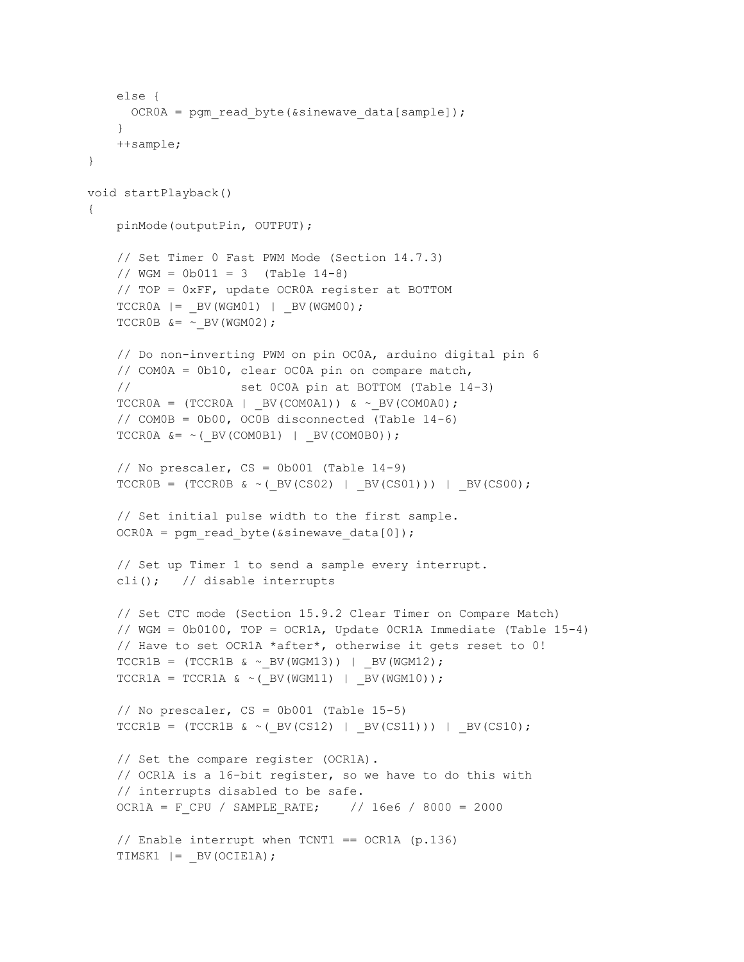```
else {
     OCR0A = pgm read byte(&sinewave data[sample]);
    }
   ++sample;
}
void startPlayback()
{
   pinMode(outputPin, OUTPUT);
   // Set Timer 0 Fast PWM Mode (Section 14.7.3)
    // WGM = 0b011 = 3 (Table 14-8)// TOP = 0xFF, update OCR0A register at BOTTOM
    TCCR0A = BV(WGM01) = BV(WGM00);TCCR0B &= ~ BV(WGM02);
    // Do non-inverting PWM on pin OC0A, arduino digital pin 6
    // COM0A = 0b10, clear OC0A pin on compare match,
    // set 0C0A pin at BOTTOM (Table 14-3)
    TCCROA = (TCCROA | BV(COMOA1)) & \& ~\sim BV(COMOAO);// COM0B = 0b00, OC0B disconnected (Table 14-6)
    TCCR0A \&= \sim ( BV(COM0B1) | BV(COM0B0));
    // No prescaler, CS = 0b001 (Table 14-9)
    TCCROB = (TCCROB < (BV(CS02) | BV(CS01))) | BV(CSO50);// Set initial pulse width to the first sample.
    OCR0A = pgm_read_byte(&sinewave_data[0]);
    // Set up Timer 1 to send a sample every interrupt.
    cli(); // disable interrupts
    // Set CTC mode (Section 15.9.2 Clear Timer on Compare Match)
    // WGM = 0b0100, TOP = OCR1A, Update 0CR1A Immediate (Table 15-4)
    // Have to set OCR1A *after*, otherwise it gets reset to 0!
    TCCR1B = (TCCR1B & ~BV(WGM13)) | BV(WGM12);
    TCCRIA = TCCRIA < (DV(WGM11) | BV(WGM10));// No prescaler, CS = 0b001 (Table 15-5)
    TCCRIB = (TCCRIB < (BV(CS12) | BV(CS11))) | BV(CS10);// Set the compare register (OCR1A).
    // OCR1A is a 16-bit register, so we have to do this with
    // interrupts disabled to be safe.
    OCR1A = F_CPU / SAMPLE_RATE; // 16e6 / 8000 = 2000
    // Enable interrupt when TCNT1 == OCR1A (p.136)TIMSK1 |= BV(OCIE1A);
```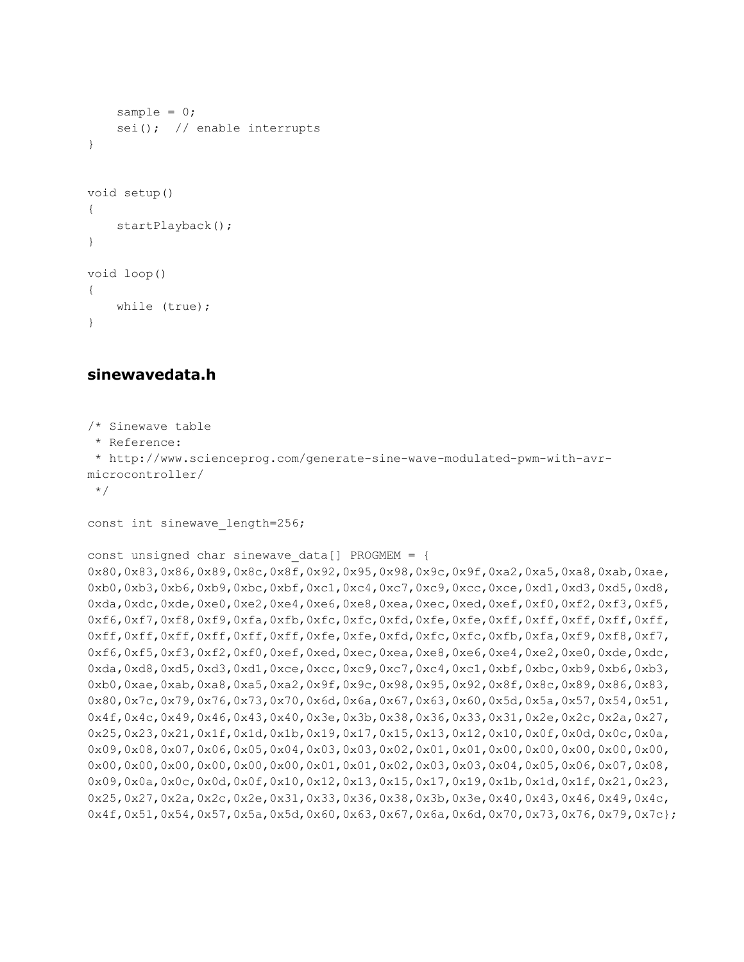```
sample = 0;
    sei(); // enable interrupts
}
void setup()
{
    startPlayback();
}
void loop()
{
    while (true);
}
```
#### <span id="page-7-0"></span>**sinewavedata.h**

```
/* Sinewave table
 * Reference:
 * http://www.scienceprog.com/generate-sine-wave-modulated-pwm-with-avr-
microcontroller/
 */
const int sinewave length=256;
const unsigned char sinewave data[] PROGMEM = {
0x80,0x83,0x86,0x89,0x8c,0x8f,0x92,0x95,0x98,0x9c,0x9f,0xa2,0xa5,0xa8,0xab,0xae,
0xb0,0xb3,0xb6,0xb9,0xbc,0xbf,0xc1,0xc4,0xc7,0xc9,0xcc,0xce,0xd1,0xd3,0xd5,0xd8,
0xda,0xdc,0xde,0xe0,0xe2,0xe4,0xe6,0xe8,0xea,0xec,0xed,0xef,0xf0,0xf2,0xf3,0xf5,
0xf6,0xf7,0xf8,0xf9,0xfa,0xfb,0xfc,0xfc,0xfd,0xfe,0xfe,0xff,0xff,0xff,0xff,0xff,
0xff,0xff,0xff,0xff,0xff,0xff,0xfe,0xfe,0xfd,0xfc,0xfc,0xfb,0xfa,0xf9,0xf8,0xf7,
0xf6,0xf5,0xf3,0xf2,0xf0,0xef,0xed,0xec,0xea,0xe8,0xe6,0xe4,0xe2,0xe0,0xde,0xdc,
0xda,0xd8,0xd5,0xd3,0xd1,0xce,0xcc,0xc9,0xc7,0xc4,0xc1,0xbf,0xbc,0xb9,0xb6,0xb3,
0xb0,0xae,0xab,0xa8,0xa5,0xa2,0x9f,0x9c,0x98,0x95,0x92,0x8f,0x8c,0x89,0x86,0x83,
0x80,0x7c,0x79,0x76,0x73,0x70,0x6d,0x6a,0x67,0x63,0x60,0x5d,0x5a,0x57,0x54,0x51,
0x4f,0x4c,0x49,0x46,0x43,0x40,0x3e,0x3b,0x38,0x36,0x33,0x31,0x2e,0x2c,0x2a,0x27,
0x25,0x23,0x21,0x1f,0x1d,0x1b,0x19,0x17,0x15,0x13,0x12,0x10,0x0f,0x0d,0x0c,0x0a,
0x09,0x08,0x07,0x06,0x05,0x04,0x03,0x03,0x02,0x01,0x01,0x00,0x00,0x00,0x00,0x00,
0x00,0x00,0x00,0x00,0x00,0x00,0x01,0x01,0x02,0x03,0x03,0x04,0x05,0x06,0x07,0x08,
0x09,0x0a,0x0c,0x0d,0x0f,0x10,0x12,0x13,0x15,0x17,0x19,0x1b,0x1d,0x1f,0x21,0x23,
0x25,0x27,0x2a,0x2c,0x2e,0x31,0x33,0x36,0x38,0x3b,0x3e,0x40,0x43,0x46,0x49,0x4c,
0x4f,0x51,0x54,0x57,0x5a,0x5d,0x60,0x63,0x67,0x6a,0x6d,0x70,0x73,0x76,0x79,0x7c};
```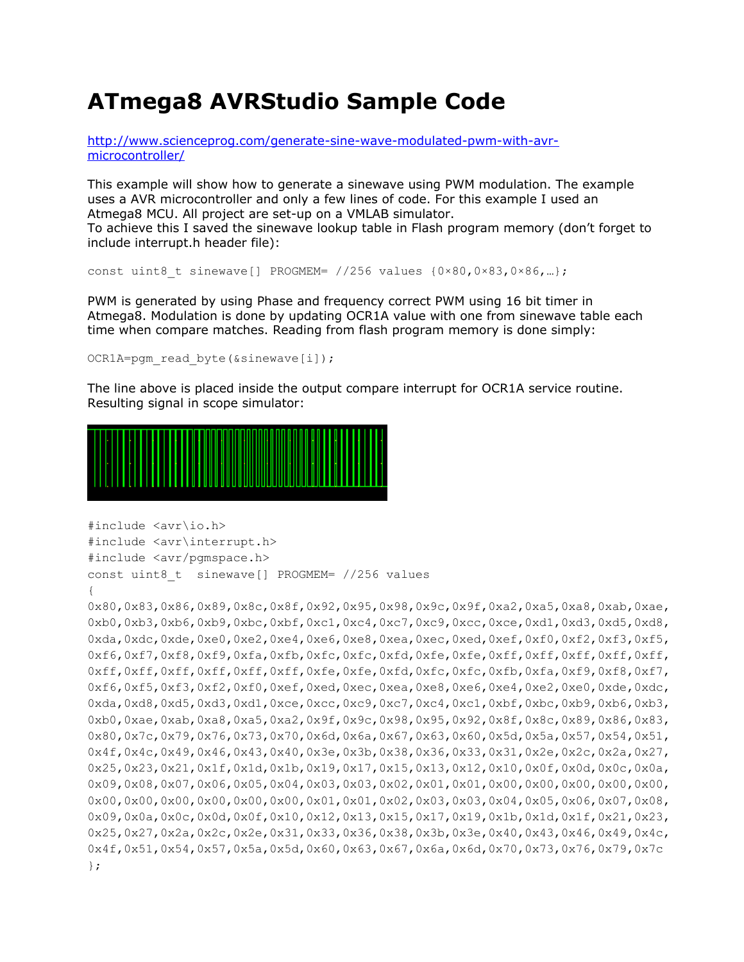## <span id="page-8-0"></span>**ATmega8 AVRStudio Sample Code**

[http://www.scienceprog.com/generate-sine-wave-modulated-pwm-with-avr](http://www.scienceprog.com/generate-sine-wave-modulated-pwm-with-avr-microcontroller/)[microcontroller/](http://www.scienceprog.com/generate-sine-wave-modulated-pwm-with-avr-microcontroller/)

This example will show how to generate a sinewave using PWM modulation. The example uses a AVR microcontroller and only a few lines of code. For this example I used an Atmega8 MCU. All project are set-up on a VMLAB simulator.

To achieve this I saved the sinewave lookup table in Flash program memory (don't forget to include interrupt.h header file):

```
const uint8 t sinewave[] PROGMEM= //256 values {0×80,0×83,0×86,...};
```
PWM is generated by using Phase and frequency correct PWM using 16 bit timer in Atmega8. Modulation is done by updating OCR1A value with one from sinewave table each time when compare matches. Reading from flash program memory is done simply:

```
OCR1A=pgm_read_byte(&sinewave[i]);
```
The line above is placed inside the output compare interrupt for OCR1A service routine. Resulting signal in scope simulator:



```
#include <avr\io.h>
#include <avr\interrupt.h>
#include <avr/pgmspace.h>
const uint8_t sinewave[] PROGMEM= //256 values
{
0x80,0x83,0x86,0x89,0x8c,0x8f,0x92,0x95,0x98,0x9c,0x9f,0xa2,0xa5,0xa8,0xab,0xae,
0xb0,0xb3,0xb6,0xb9,0xbc,0xbf,0xc1,0xc4,0xc7,0xc9,0xcc,0xce,0xd1,0xd3,0xd5,0xd8,
0xda,0xdc,0xde,0xe0,0xe2,0xe4,0xe6,0xe8,0xea,0xec,0xed,0xef,0xf0,0xf2,0xf3,0xf5,
0xf6,0xf7,0xf8,0xf9,0xfa,0xfb,0xfc,0xfc,0xfd,0xfe,0xfe,0xff,0xff,0xff,0xff,0xff,
0xff,0xff,0xff,0xff,0xff,0xff,0xfe,0xfe,0xfd,0xfc,0xfc,0xfb,0xfa,0xf9,0xf8,0xf7,
0xf6,0xf5,0xf3,0xf2,0xf0,0xef,0xed,0xec,0xea,0xe8,0xe6,0xe4,0xe2,0xe0,0xde,0xdc,
0xda,0xd8,0xd5,0xd3,0xd1,0xce,0xcc,0xc9,0xc7,0xc4,0xc1,0xbf,0xbc,0xb9,0xb6,0xb3,
0xb0,0xae,0xab,0xa8,0xa5,0xa2,0x9f,0x9c,0x98,0x95,0x92,0x8f,0x8c,0x89,0x86,0x83,
0x80,0x7c,0x79,0x76,0x73,0x70,0x6d,0x6a,0x67,0x63,0x60,0x5d,0x5a,0x57,0x54,0x51,
0x4f,0x4c,0x49,0x46,0x43,0x40,0x3e,0x3b,0x38,0x36,0x33,0x31,0x2e,0x2c,0x2a,0x27,
0x25,0x23,0x21,0x1f,0x1d,0x1b,0x19,0x17,0x15,0x13,0x12,0x10,0x0f,0x0d,0x0c,0x0a,
0x09,0x08,0x07,0x06,0x05,0x04,0x03,0x03,0x02,0x01,0x01,0x00,0x00,0x00,0x00,0x00,
0x00,0x00,0x00,0x00,0x00,0x00,0x01,0x01,0x02,0x03,0x03,0x04,0x05,0x06,0x07,0x08,
0x09,0x0a,0x0c,0x0d,0x0f,0x10,0x12,0x13,0x15,0x17,0x19,0x1b,0x1d,0x1f,0x21,0x23,
0x25,0x27,0x2a,0x2c,0x2e,0x31,0x33,0x36,0x38,0x3b,0x3e,0x40,0x43,0x46,0x49,0x4c,
0x4f,0x51,0x54,0x57,0x5a,0x5d,0x60,0x63,0x67,0x6a,0x6d,0x70,0x73,0x76,0x79,0x7c
};
```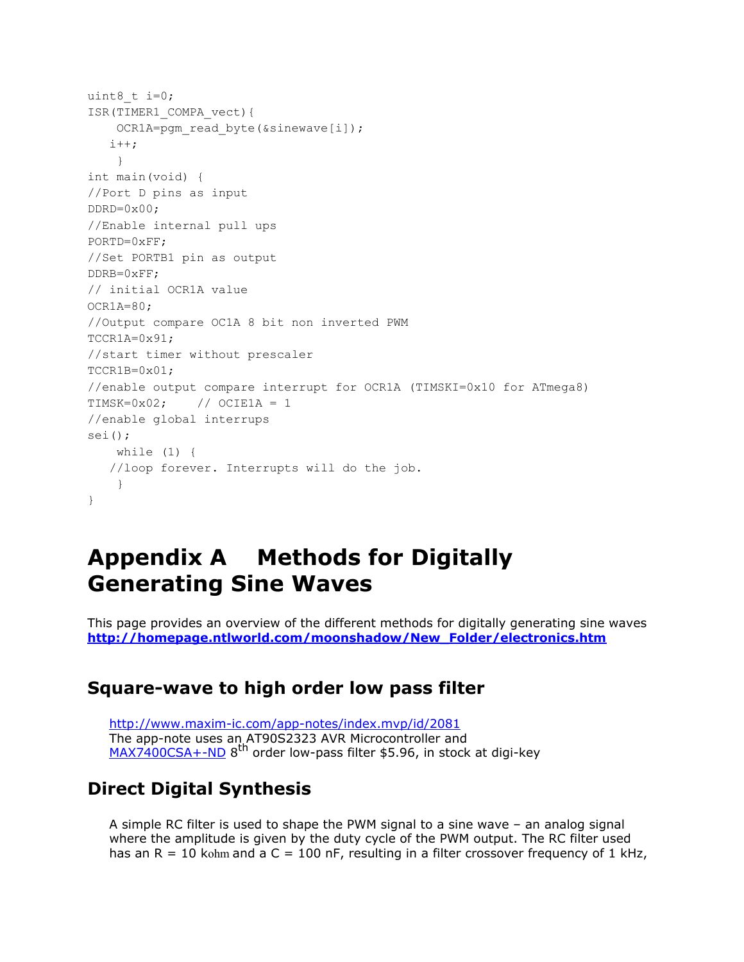```
uint8 t i=0;
ISR(TIMER1_COMPA_vect){
   OCR1A=pgm_read_byte(&sinewave[i]);
   i++;}
int main(void) {
//Port D pins as input
DDRD=0x00;
//Enable internal pull ups
PORTD=0xFF;
//Set PORTB1 pin as output
DDRB=0xFF;
// initial OCR1A value
OCR1A=80;
//Output compare OC1A 8 bit non inverted PWM
TCCR1A=0x91;
//start timer without prescaler
TCCR1B=0x01;
//enable output compare interrupt for OCR1A (TIMSKI=0x10 for ATmega8)
TIMEK=0x02; // OCIE1A = 1
//enable global interrups
sei();
   while (1) {
   //loop forever. Interrupts will do the job.
   }
}
```
## <span id="page-9-0"></span>**Appendix A Methods for Digitally Generating Sine Waves**

This page provides an overview of the different methods for digitally generating sine waves **[http://homepage.ntlworld.com/moonshadow/New\\_Folder/electronics.htm](http://homepage.ntlworld.com/moonshadow/New_Folder/electronics.htm)**

#### <span id="page-9-1"></span>**Square-wave to high order low pass filter**

<http://www.maxim-ic.com/app-notes/index.mvp/id/2081> The app-note uses an AT90S2323 AVR Microcontroller and [MAX7400CSA+-ND](http://search.digikey.com/scripts/DkSearch/dksus.dll?Detail&name=MAX7400CSA%2B-ND) 8<sup>th</sup> order low-pass filter \$5.96, in stock at digi-key

#### <span id="page-9-2"></span>**Direct Digital Synthesis**

A simple RC filter is used to shape the PWM signal to a sine wave – an analog signal where the amplitude is given by the duty cycle of the PWM output. The RC filter used has an  $R = 10$  kohm and a  $C = 100$  nF, resulting in a filter crossover frequency of 1 kHz,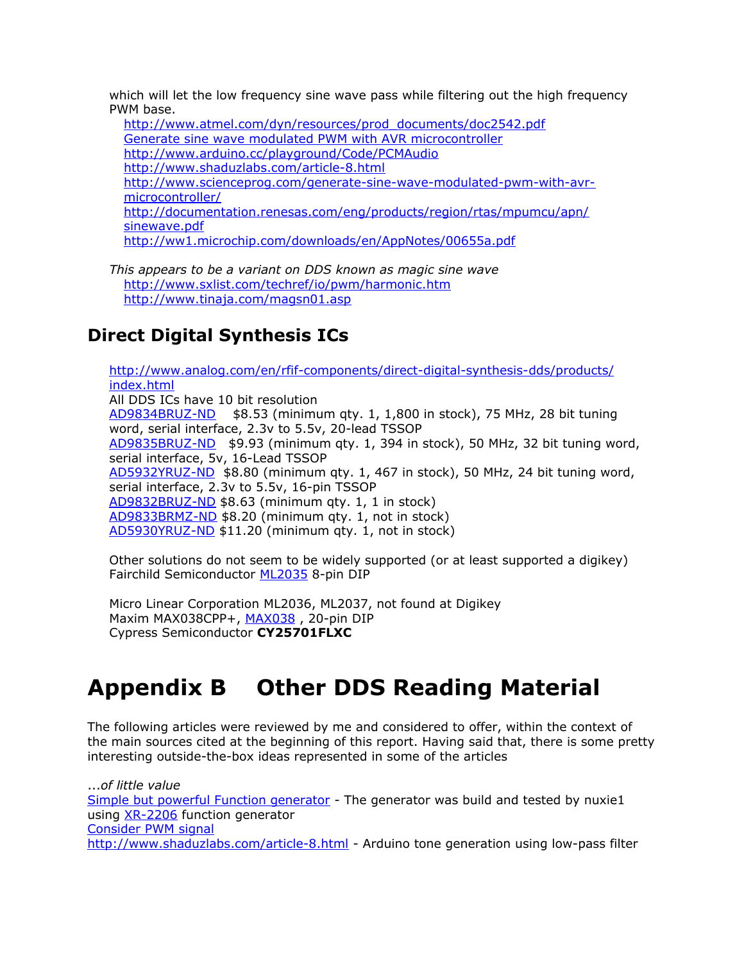which will let the low frequency sine wave pass while filtering out the high frequency PWM base.

[http://www.atmel.com/dyn/resources/prod\\_documents/doc2542.pdf](http://www.atmel.com/dyn/resources/prod_documents/doc2542.pdf) [Generate sine wave modulated PWM with AVR microcontroller](http://www.scienceprog.com/generate-sine-wave-modulated-pwm-with-avr-microcontroller/) <http://www.arduino.cc/playground/Code/PCMAudio> <http://www.shaduzlabs.com/article-8.html> [http://www.scienceprog.com/generate-sine-wave-modulated-pwm-with-avr](http://www.scienceprog.com/generate-sine-wave-modulated-pwm-with-avr-microcontroller/)[microcontroller/](http://www.scienceprog.com/generate-sine-wave-modulated-pwm-with-avr-microcontroller/) [http://documentation.renesas.com/eng/products/region/rtas/mpumcu/apn/](http://documentation.renesas.com/eng/products/region/rtas/mpumcu/apn/sinewave.pdf) [sinewave.pdf](http://documentation.renesas.com/eng/products/region/rtas/mpumcu/apn/sinewave.pdf) <http://ww1.microchip.com/downloads/en/AppNotes/00655a.pdf>

*This appears to be a variant on DDS known as magic sine wave* <http://www.sxlist.com/techref/io/pwm/harmonic.htm> <http://www.tinaja.com/magsn01.asp>

### <span id="page-10-0"></span>**Direct Digital Synthesis ICs**

[http://www.analog.com/en/rfif-components/direct-digital-synthesis-dds/products/](http://www.analog.com/en/rfif-components/direct-digital-synthesis-dds/products/index.html) [index.html](http://www.analog.com/en/rfif-components/direct-digital-synthesis-dds/products/index.html) All DDS ICs have 10 bit resolution [AD9834BRUZ-ND](http://search.digikey.com/scripts/DkSearch/dksus.dll?Detail&name=AD9834BRUZ-ND) \$8.53 (minimum qty. 1, 1,800 in stock), 75 MHz, 28 bit tuning word, serial interface, 2.3v to 5.5v, 20-lead TSSOP [AD9835BRUZ-ND](http://search.digikey.com/scripts/DkSearch/dksus.dll?Detail&name=AD9835BRUZ-ND) \$9.93 (minimum qty. 1, 394 in stock), 50 MHz, 32 bit tuning word, serial interface, 5v, 16-Lead TSSOP [AD5932YRUZ-ND](http://search.digikey.com/scripts/DkSearch/dksus.dll?Detail&name=AD5932YRUZ-ND) \$8.80 (minimum qty. 1, 467 in stock), 50 MHz, 24 bit tuning word, serial interface, 2.3v to 5.5v, 16-pin TSSOP [AD9832BRUZ-ND](http://search.digikey.com/scripts/DkSearch/dksus.dll?Detail&name=AD9832BRUZ-ND) \$8.63 (minimum qty. 1, 1 in stock) [AD9833BRMZ-ND](http://search.digikey.com/scripts/DkSearch/dksus.dll?Detail&name=AD9833BRMZ-ND) \$8.20 (minimum qty. 1, not in stock) [AD5930YRUZ-ND](http://search.digikey.com/scripts/DkSearch/dksus.dll?Detail&name=AD5930YRUZ-ND) \$11.20 (minimum qty. 1, not in stock)

Other solutions do not seem to be widely supported (or at least supported a digikey) Fairchild Semiconductor [ML2035](http://media.digikey.com/pdf/Data%20Sheets/Fairchild%20PDFs/ML2035.pdf) 8-pin DIP

Micro Linear Corporation ML2036, ML2037, not found at Digikey Maxim [MAX038](http://pdfserv.maxim-ic.com/en/ds/MAX038.pdf)CPP+, MAX038, 20-pin DIP Cypress Semiconductor **CY25701FLXC**

# <span id="page-10-1"></span>**Appendix B Other DDS Reading Material**

The following articles were reviewed by me and considered to offer, within the context of the main sources cited at the beginning of this report. Having said that, there is some pretty interesting outside-the-box ideas represented in some of the articles

...*of little value* [Simple but powerful Function generator](http://www.scienceprog.com/simple-but-powerful-function-generator/) - The generator was build and tested by nuxie1 using [XR-2206](http://www.datasheetcatalog.com/datasheets_pdf/X/R/2/2/XR2206.shtml) function generator [Consider PWM signal](http://www.scienceprog.com/consider-pwm-signal/) <http://www.shaduzlabs.com/article-8.html> - Arduino tone generation using low-pass filter